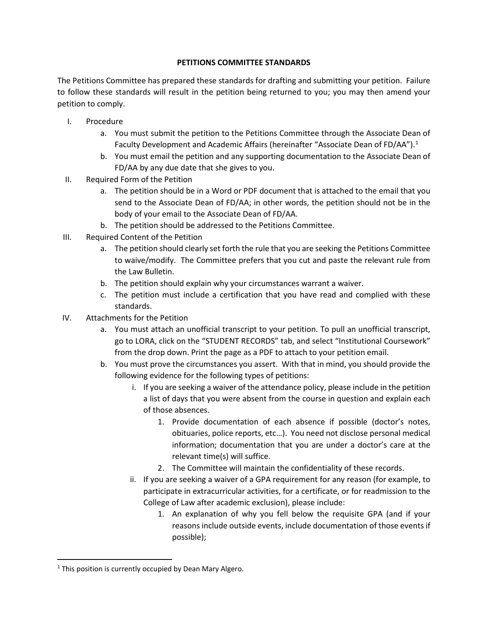## **PETITIONS COMMITTEE STANDARDS**

The Petitions Committee has prepared these standards for drafting and submitting your petition. Failure to follow these standards will result in the petition being returned to you; you may then amend your petition to comply.

- I. Procedure
	- a. You must submit the petition to the Petitions Committee through the Associate Dean of Faculty Development and Academic Affairs (hereinafter "Associate Dean of FD/AA").<sup>[1](#page-0-0)</sup>
	- b. You must email the petition and any supporting documentation to the Associate Dean of FD/AA by any due date that she gives to you.
- II. Required Form of the Petition
	- a. The petition should be in a Word or PDF document that is attached to the email that you send to the Associate Dean of FD/AA; in other words, the petition should not be in the body of your email to the Associate Dean of FD/AA.
	- b. The petition should be addressed to the Petitions Committee.
- III. Required Content of the Petition
	- a. The petition should clearly set forth the rule that you are seeking the Petitions Committee to waive/modify. The Committee prefers that you cut and paste the relevant rule from the Law Bulletin.
	- b. The petition should explain why your circumstances warrant a waiver.
	- c. The petition must include a certification that you have read and complied with these standards.
- IV. Attachments for the Petition
	- a. You must attach an unofficial transcript to your petition. To pull an unofficial transcript, go to LORA, click on the "STUDENT RECORDS" tab, and select "Institutional Coursework" from the drop down. Print the page as a PDF to attach to your petition email.
	- b. You must prove the circumstances you assert. With that in mind, you should provide the following evidence for the following types of petitions:
		- i. If you are seeking a waiver of the attendance policy, please include in the petition a list of days that you were absent from the course in question and explain each of those absences.
			- 1. Provide documentation of each absence if possible (doctor's notes, obituaries, police reports, etc…). You need not disclose personal medical information; documentation that you are under a doctor's care at the relevant time(s) will suffice.
			- 2. The Committee will maintain the confidentiality of these records.
		- ii. If you are seeking a waiver of a GPA requirement for any reason (for example, to participate in extracurricular activities, for a certificate, or for readmission to the College of Law after academic exclusion), please include:
			- 1. An explanation of why you fell below the requisite GPA (and if your reasons include outside events, include documentation of those events if possible);

<span id="page-0-0"></span> $1$  This position is currently occupied by Dean Mary Algero.